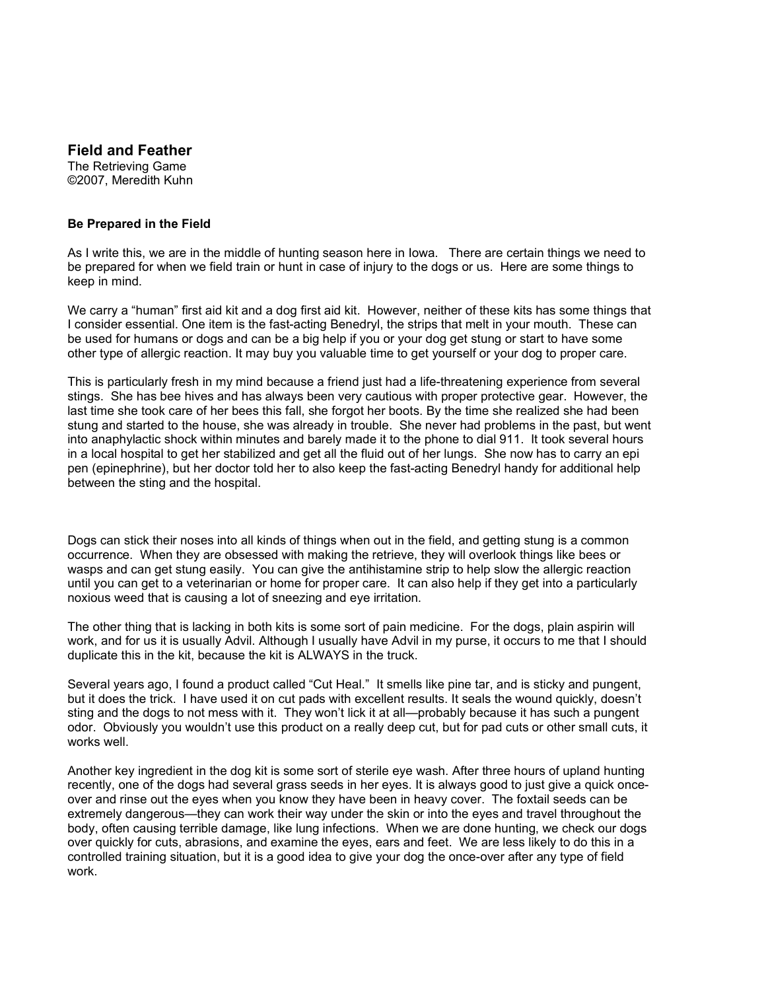## **Field and Feather**

The Retrieving Game ©2007, Meredith Kuhn

## **Be Prepared in the Field**

As I write this, we are in the middle of hunting season here in Iowa. There are certain things we need to be prepared for when we field train or hunt in case of injury to the dogs or us. Here are some things to keep in mind.

We carry a "human" first aid kit and a dog first aid kit. However, neither of these kits has some things that I consider essential. One item is the fast-acting Benedryl, the strips that melt in your mouth. These can be used for humans or dogs and can be a big help if you or your dog get stung or start to have some other type of allergic reaction. It may buy you valuable time to get yourself or your dog to proper care.

This is particularly fresh in my mind because a friend just had a life-threatening experience from several stings. She has bee hives and has always been very cautious with proper protective gear. However, the last time she took care of her bees this fall, she forgot her boots. By the time she realized she had been stung and started to the house, she was already in trouble. She never had problems in the past, but went into anaphylactic shock within minutes and barely made it to the phone to dial 911. It took several hours in a local hospital to get her stabilized and get all the fluid out of her lungs. She now has to carry an epi pen (epinephrine), but her doctor told her to also keep the fast-acting Benedryl handy for additional help between the sting and the hospital.

Dogs can stick their noses into all kinds of things when out in the field, and getting stung is a common occurrence. When they are obsessed with making the retrieve, they will overlook things like bees or wasps and can get stung easily. You can give the antihistamine strip to help slow the allergic reaction until you can get to a veterinarian or home for proper care. It can also help if they get into a particularly noxious weed that is causing a lot of sneezing and eye irritation.

The other thing that is lacking in both kits is some sort of pain medicine. For the dogs, plain aspirin will work, and for us it is usually Advil. Although I usually have Advil in my purse, it occurs to me that I should duplicate this in the kit, because the kit is ALWAYS in the truck.

Several years ago, I found a product called "Cut Heal." It smells like pine tar, and is sticky and pungent, but it does the trick. I have used it on cut pads with excellent results. It seals the wound quickly, doesn't sting and the dogs to not mess with it. They won't lick it at all—probably because it has such a pungent odor. Obviously you wouldn't use this product on a really deep cut, but for pad cuts or other small cuts, it works well.

Another key ingredient in the dog kit is some sort of sterile eye wash. After three hours of upland hunting recently, one of the dogs had several grass seeds in her eyes. It is always good to just give a quick onceover and rinse out the eyes when you know they have been in heavy cover. The foxtail seeds can be extremely dangerous—they can work their way under the skin or into the eyes and travel throughout the body, often causing terrible damage, like lung infections. When we are done hunting, we check our dogs over quickly for cuts, abrasions, and examine the eyes, ears and feet. We are less likely to do this in a controlled training situation, but it is a good idea to give your dog the once-over after any type of field work.